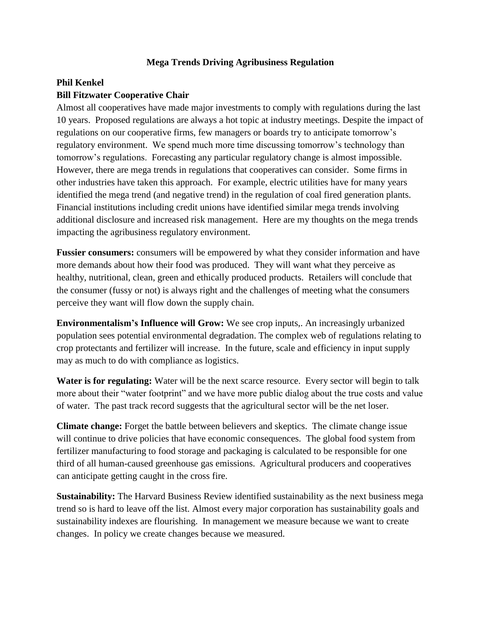## **Mega Trends Driving Agribusiness Regulation**

## **Phil Kenkel Bill Fitzwater Cooperative Chair**

Almost all cooperatives have made major investments to comply with regulations during the last 10 years. Proposed regulations are always a hot topic at industry meetings. Despite the impact of regulations on our cooperative firms, few managers or boards try to anticipate tomorrow's regulatory environment. We spend much more time discussing tomorrow's technology than tomorrow's regulations. Forecasting any particular regulatory change is almost impossible. However, there are mega trends in regulations that cooperatives can consider. Some firms in other industries have taken this approach. For example, electric utilities have for many years identified the mega trend (and negative trend) in the regulation of coal fired generation plants. Financial institutions including credit unions have identified similar mega trends involving additional disclosure and increased risk management. Here are my thoughts on the mega trends impacting the agribusiness regulatory environment.

**Fussier consumers:** consumers will be empowered by what they consider information and have more demands about how their food was produced. They will want what they perceive as healthy, nutritional, clean, green and ethically produced products. Retailers will conclude that the consumer (fussy or not) is always right and the challenges of meeting what the consumers perceive they want will flow down the supply chain.

**Environmentalism's Influence will Grow:** We see crop inputs,. An increasingly urbanized population sees potential environmental degradation. The complex web of regulations relating to crop protectants and fertilizer will increase. In the future, scale and efficiency in input supply may as much to do with compliance as logistics.

**Water is for regulating:** Water will be the next scarce resource. Every sector will begin to talk more about their "water footprint" and we have more public dialog about the true costs and value of water. The past track record suggests that the agricultural sector will be the net loser.

**Climate change:** Forget the battle between believers and skeptics. The climate change issue will continue to drive policies that have economic consequences. The global food system from fertilizer manufacturing to food storage and packaging is calculated to be responsible for one third of all human-caused greenhouse gas emissions. Agricultural producers and cooperatives can anticipate getting caught in the cross fire.

**Sustainability:** The Harvard Business Review identified sustainability as the next business mega trend so is hard to leave off the list. Almost every major corporation has sustainability goals and sustainability indexes are flourishing. In management we measure because we want to create changes. In policy we create changes because we measured.